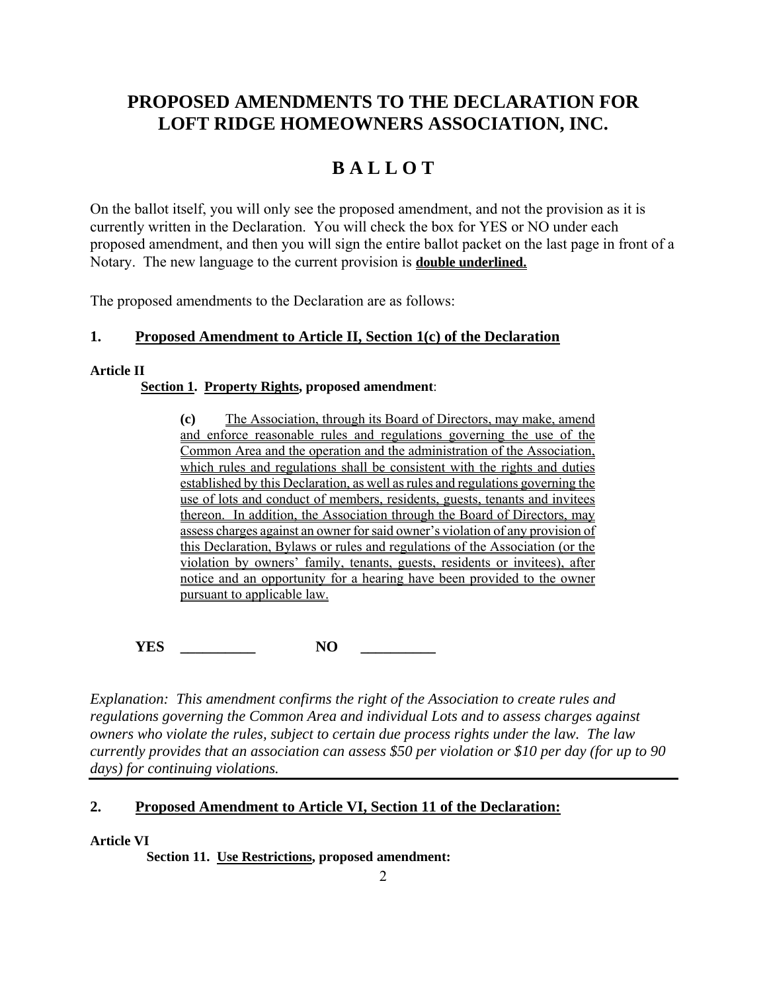# **PROPOSED AMENDMENTS TO THE DECLARATION FOR LOFT RIDGE HOMEOWNERS ASSOCIATION, INC.**

# **B A L L O T**

On the ballot itself, you will only see the proposed amendment, and not the provision as it is currently written in the Declaration. You will check the box for YES or NO under each proposed amendment, and then you will sign the entire ballot packet on the last page in front of a Notary. The new language to the current provision is **double underlined.**

The proposed amendments to the Declaration are as follows:

# **1. Proposed Amendment to Article II, Section 1(c) of the Declaration**

## **Article II**

# **Section 1. Property Rights, proposed amendment**:

**(c)** The Association, through its Board of Directors, may make, amend and enforce reasonable rules and regulations governing the use of the Common Area and the operation and the administration of the Association, which rules and regulations shall be consistent with the rights and duties established by this Declaration, as well as rules and regulations governing the use of lots and conduct of members, residents, guests, tenants and invitees thereon. In addition, the Association through the Board of Directors, may assess charges against an owner for said owner's violation of any provision of this Declaration, Bylaws or rules and regulations of the Association (or the violation by owners' family, tenants, guests, residents or invitees), after notice and an opportunity for a hearing have been provided to the owner pursuant to applicable law.

**YES \_\_\_\_\_\_\_\_\_\_ NO \_\_\_\_\_\_\_\_\_\_** 

*Explanation: This amendment confirms the right of the Association to create rules and regulations governing the Common Area and individual Lots and to assess charges against owners who violate the rules, subject to certain due process rights under the law. The law currently provides that an association can assess \$50 per violation or \$10 per day (for up to 90 days) for continuing violations.* 

# **2. Proposed Amendment to Article VI, Section 11 of the Declaration:**

**Article VI** 

**Section 11. Use Restrictions, proposed amendment:**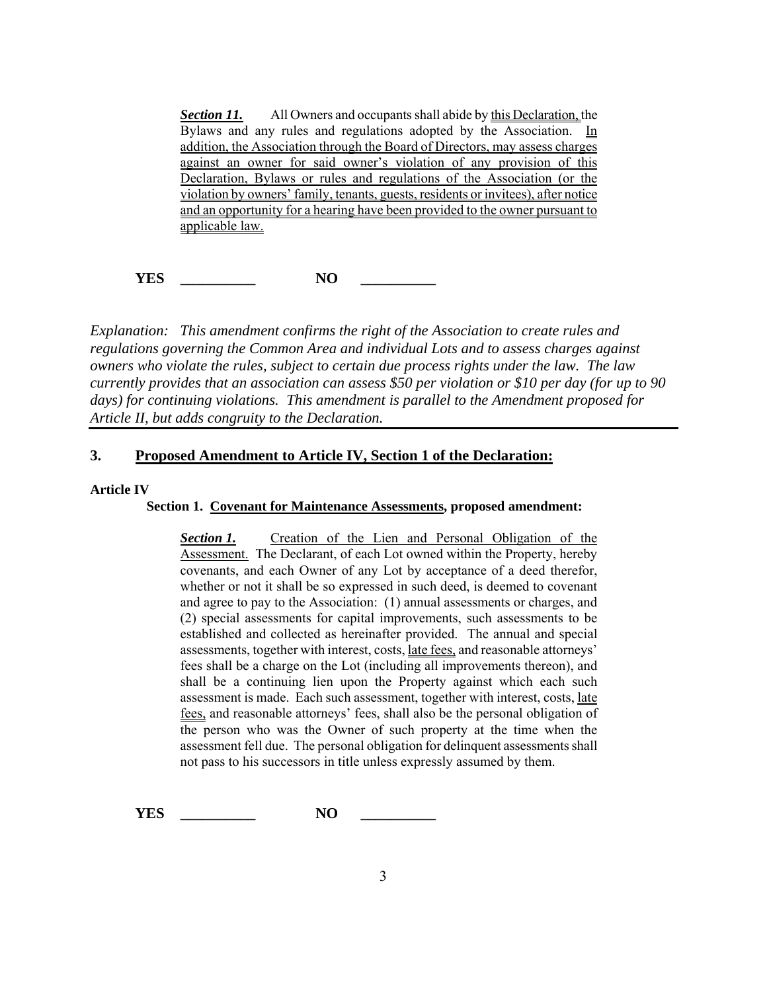**Section 11.** All Owners and occupants shall abide by this Declaration, the Bylaws and any rules and regulations adopted by the Association. In addition, the Association through the Board of Directors, may assess charges against an owner for said owner's violation of any provision of this Declaration, Bylaws or rules and regulations of the Association (or the violation by owners' family, tenants, guests, residents or invitees), after notice and an opportunity for a hearing have been provided to the owner pursuant to applicable law.

**YES** \_\_\_\_\_\_\_\_\_\_\_\_\_ NO \_\_\_\_\_\_\_\_\_

*Explanation: This amendment confirms the right of the Association to create rules and regulations governing the Common Area and individual Lots and to assess charges against owners who violate the rules, subject to certain due process rights under the law. The law currently provides that an association can assess \$50 per violation or \$10 per day (for up to 90 days) for continuing violations. This amendment is parallel to the Amendment proposed for Article II, but adds congruity to the Declaration.* 

## **3. Proposed Amendment to Article IV, Section 1 of the Declaration:**

#### **Article IV**

#### **Section 1. Covenant for Maintenance Assessments, proposed amendment:**

**Section 1.** Creation of the Lien and Personal Obligation of the Assessment. The Declarant, of each Lot owned within the Property, hereby covenants, and each Owner of any Lot by acceptance of a deed therefor, whether or not it shall be so expressed in such deed, is deemed to covenant and agree to pay to the Association: (1) annual assessments or charges, and (2) special assessments for capital improvements, such assessments to be established and collected as hereinafter provided. The annual and special assessments, together with interest, costs, late fees, and reasonable attorneys' fees shall be a charge on the Lot (including all improvements thereon), and shall be a continuing lien upon the Property against which each such assessment is made. Each such assessment, together with interest, costs, late fees, and reasonable attorneys' fees, shall also be the personal obligation of the person who was the Owner of such property at the time when the assessment fell due. The personal obligation for delinquent assessments shall not pass to his successors in title unless expressly assumed by them.

**YES** \_\_\_\_\_\_\_\_\_\_\_\_\_ NO \_\_\_\_\_\_\_\_\_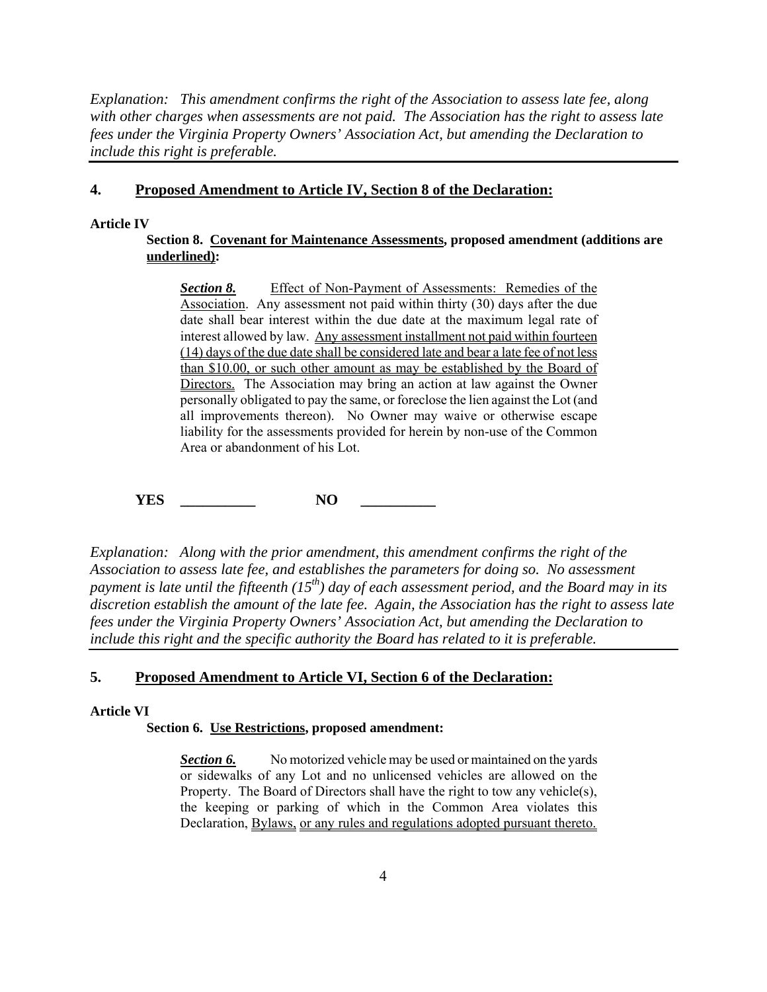*Explanation: This amendment confirms the right of the Association to assess late fee, along with other charges when assessments are not paid. The Association has the right to assess late fees under the Virginia Property Owners' Association Act, but amending the Declaration to include this right is preferable.* 

# **4. Proposed Amendment to Article IV, Section 8 of the Declaration:**

#### **Article IV**

# **Section 8. Covenant for Maintenance Assessments, proposed amendment (additions are underlined):**

**Section 8.** Effect of Non-Payment of Assessments: Remedies of the Association. Any assessment not paid within thirty (30) days after the due date shall bear interest within the due date at the maximum legal rate of interest allowed by law. Any assessment installment not paid within fourteen (14) days of the due date shall be considered late and bear a late fee of not less than \$10.00, or such other amount as may be established by the Board of Directors. The Association may bring an action at law against the Owner personally obligated to pay the same, or foreclose the lien against the Lot (and all improvements thereon). No Owner may waive or otherwise escape liability for the assessments provided for herein by non-use of the Common Area or abandonment of his Lot.

**YES** \_\_\_\_\_\_\_\_\_\_\_\_\_ NO \_\_\_\_\_\_\_\_\_

*Explanation: Along with the prior amendment, this amendment confirms the right of the Association to assess late fee, and establishes the parameters for doing so. No assessment payment is late until the fifteenth*  $(15<sup>th</sup>)$  day of each assessment period, and the Board may in its *discretion establish the amount of the late fee. Again, the Association has the right to assess late fees under the Virginia Property Owners' Association Act, but amending the Declaration to include this right and the specific authority the Board has related to it is preferable.* 

# **5. Proposed Amendment to Article VI, Section 6 of the Declaration:**

#### **Article VI**

#### **Section 6. Use Restrictions, proposed amendment:**

**Section 6.** No motorized vehicle may be used or maintained on the yards or sidewalks of any Lot and no unlicensed vehicles are allowed on the Property. The Board of Directors shall have the right to tow any vehicle(s), the keeping or parking of which in the Common Area violates this Declaration, Bylaws, or any rules and regulations adopted pursuant thereto.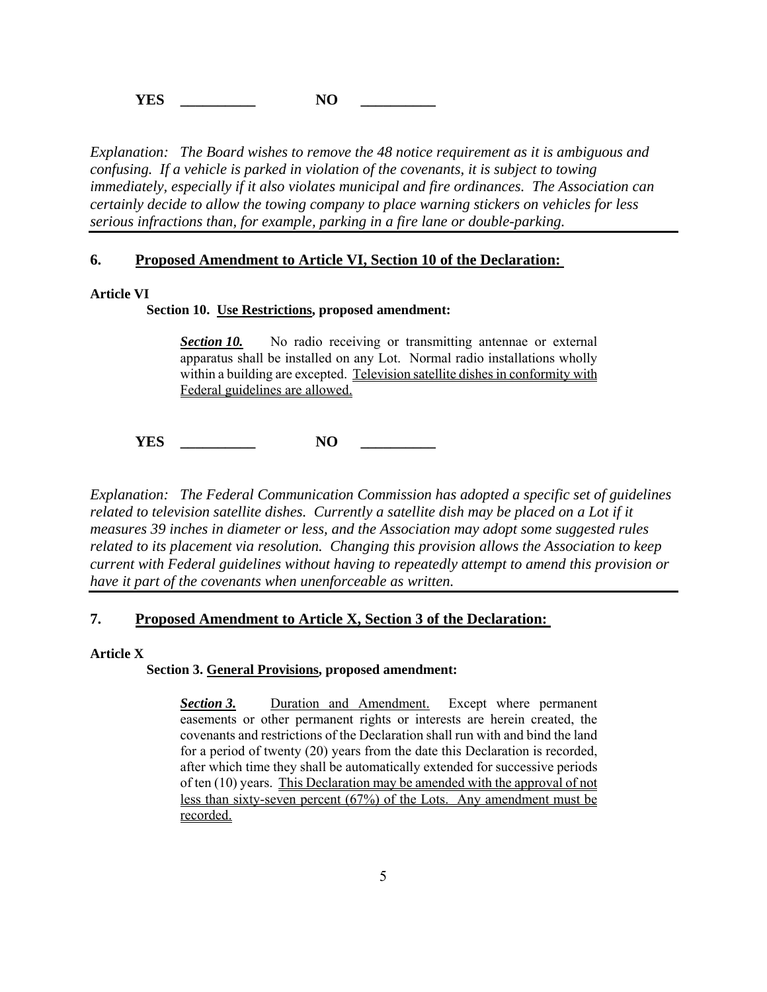**YES** \_\_\_\_\_\_\_\_\_\_\_\_\_ NO \_\_\_\_\_\_\_\_\_

*Explanation: The Board wishes to remove the 48 notice requirement as it is ambiguous and confusing. If a vehicle is parked in violation of the covenants, it is subject to towing immediately, especially if it also violates municipal and fire ordinances. The Association can certainly decide to allow the towing company to place warning stickers on vehicles for less serious infractions than, for example, parking in a fire lane or double-parking.* 

#### **6. Proposed Amendment to Article VI, Section 10 of the Declaration:**

#### **Article VI**

#### **Section 10. Use Restrictions, proposed amendment:**

**Section 10.** No radio receiving or transmitting antennae or external apparatus shall be installed on any Lot. Normal radio installations wholly within a building are excepted. Television satellite dishes in conformity with Federal guidelines are allowed.

**YES** \_\_\_\_\_\_\_\_\_\_\_\_\_ NO \_\_\_\_\_\_\_\_\_

*Explanation: The Federal Communication Commission has adopted a specific set of guidelines related to television satellite dishes. Currently a satellite dish may be placed on a Lot if it measures 39 inches in diameter or less, and the Association may adopt some suggested rules related to its placement via resolution. Changing this provision allows the Association to keep current with Federal guidelines without having to repeatedly attempt to amend this provision or have it part of the covenants when unenforceable as written.* 

# **7. Proposed Amendment to Article X, Section 3 of the Declaration:**

#### **Article X**

## **Section 3. General Provisions, proposed amendment:**

*Section 3.* Duration and Amendment. Except where permanent easements or other permanent rights or interests are herein created, the covenants and restrictions of the Declaration shall run with and bind the land for a period of twenty (20) years from the date this Declaration is recorded, after which time they shall be automatically extended for successive periods of ten (10) years. This Declaration may be amended with the approval of not less than sixty-seven percent (67%) of the Lots. Any amendment must be recorded.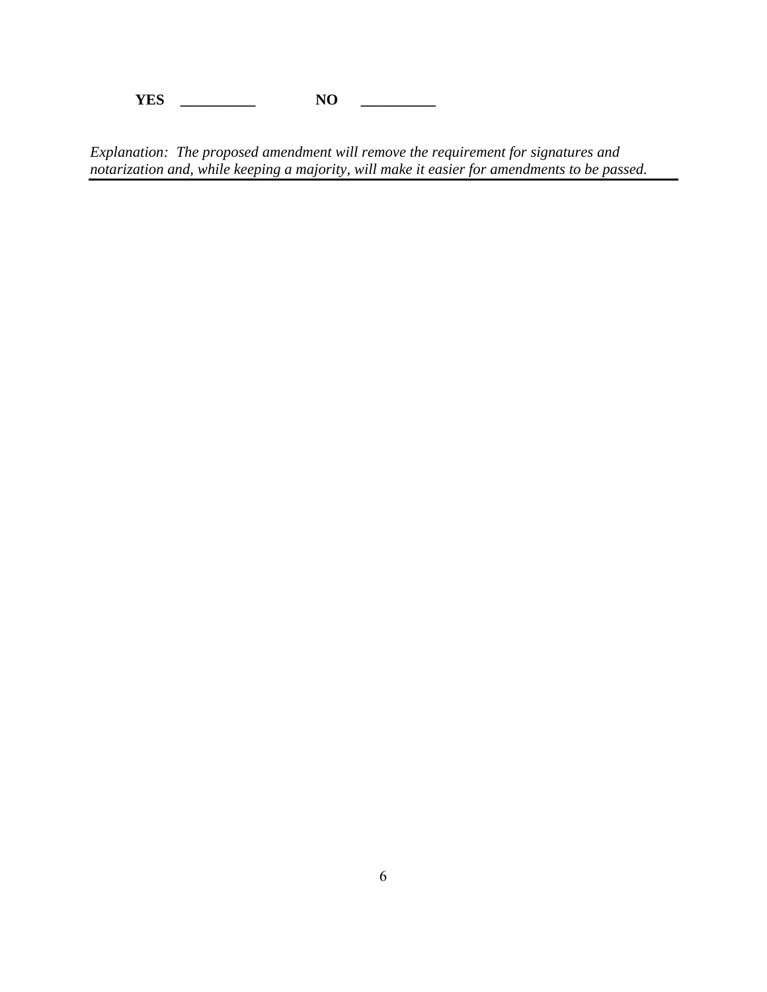**YES \_\_\_\_\_\_\_\_\_\_ NO \_\_\_\_\_\_\_\_\_\_** 

*Explanation: The proposed amendment will remove the requirement for signatures and notarization and, while keeping a majority, will make it easier for amendments to be passed.*